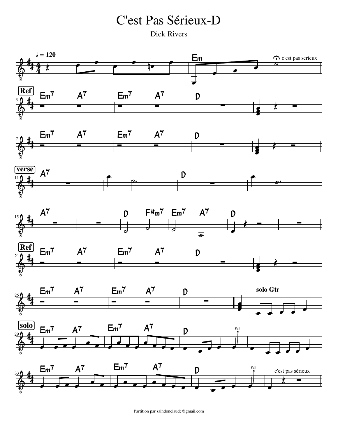C'est Pas Sérieux-D

Dick Rivers



Partition par saindonclaude@gmail.com